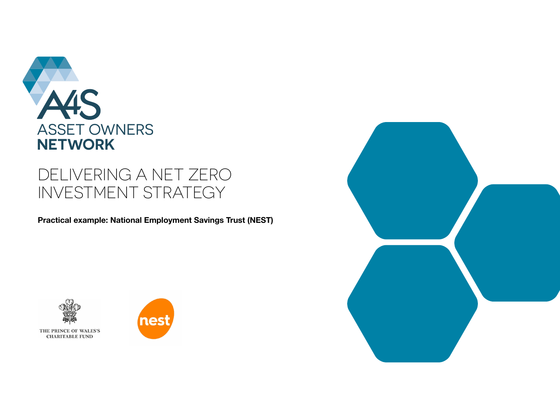

# DELIVERING A NET ZERO INVESTMENT STRATEGY

**Practical example: National Employment Savings Trust (NEST)**





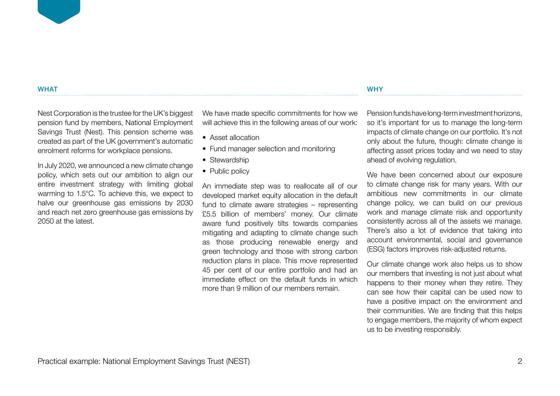#### **WHAT**

Nest Corporation is the trustee for the UK's biggest pension fund by members, National Employment Savings Trust (Nest). This pension scheme was created as part of the UK government's automatic enrolment reforms for workplace pensions.

In July 2020, we announced a new climate change policy, which sets out our ambition to align our entire investment strategy with limiting global warming to 1.5°C. To achieve this, we expect to halve our greenhouse gas emissions by 2030 and reach net zero greenhouse gas emissions by 2050 at the latest.

We have made specific commitments for how we will achieve this in the following areas of our work:

- Asset allocation
- Fund manager selection and monitoring
- Stewardship
- Public policy

An immediate step was to reallocate all of our developed market equity allocation in the default fund to climate aware strategies – representing £5.5 billion of members' money. Our climate aware fund positively tilts towards companies mitigating and adapting to climate change such as those producing renewable energy and green technology and those with strong carbon reduction plans in place. This move represented 45 per cent of our entire portfolio and had an immediate effect on the default funds in which more than 9 million of our members remain.

Pension funds have long-term investment horizons, so it's important for us to manage the long-term impacts of climate change on our portfolio. It's not only about the future, though: climate change is affecting asset prices today and we need to stay ahead of evolving regulation.

**WHY** 

We have been concerned about our exposure to climate change risk for many years. With our ambitious new commitments in our climate change policy, we can build on our previous work and manage climate risk and opportunity consistently across all of the assets we manage. There's also a lot of evidence that taking into account environmental, social and governance (ESG) factors improves risk-adjusted returns.

Our climate change work also helps us to show our members that investing is not just about what happens to their money when they retire. They can see how their capital can be used now to have a positive impact on the environment and their communities. We are finding that this helps to engage members, the majority of whom expect us to be investing responsibly.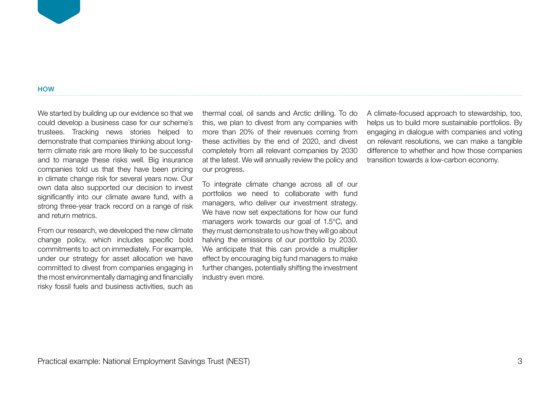#### **HOW**

We started by building up our evidence so that we could develop a business case for our scheme's trustees. Tracking news stories helped to demonstrate that companies thinking about longterm climate risk are more likely to be successful and to manage these risks well. Big insurance companies told us that they have been pricing in climate change risk for several years now. Our own data also supported our decision to invest significantly into our climate aware fund, with a strong three-year track record on a range of risk and return metrics.

From our research, we developed the new climate change policy, which includes specific bold commitments to act on immediately. For example, under our strategy for asset allocation we have committed to divest from companies engaging in the most environmentally damaging and financially risky fossil fuels and business activities, such as thermal coal, oil sands and Arctic drilling. To do this, we plan to divest from any companies with more than 20% of their revenues coming from these activities by the end of 2020, and divest completely from all relevant companies by 2030 at the latest. We will annually review the policy and our progress.

To integrate climate change across all of our portfolios we need to collaborate with fund managers, who deliver our investment strategy. We have now set expectations for how our fund managers work towards our goal of 1.5°C, and they must demonstrate to us how they will go about halving the emissions of our portfolio by 2030. We anticipate that this can provide a multiplier effect by encouraging big fund managers to make further changes, potentially shifting the investment industry even more.

A climate-focused approach to stewardship, too, helps us to build more sustainable portfolios. By engaging in dialogue with companies and voting on relevant resolutions, we can make a tangible difference to whether and how those companies transition towards a low-carbon economy.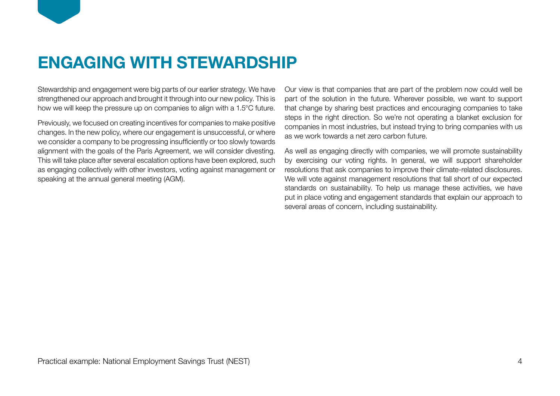

# **ENGAGING WITH STEWARDSHIP**

Stewardship and engagement were big parts of our earlier strategy. We have strengthened our approach and brought it through into our new policy. This is how we will keep the pressure up on companies to align with a 1.5°C future.

Previously, we focused on creating incentives for companies to make positive changes. In the new policy, where our engagement is unsuccessful, or where we consider a company to be progressing insufficiently or too slowly towards alignment with the goals of the Paris Agreement, we will consider divesting. This will take place after several escalation options have been explored, such as engaging collectively with other investors, voting against management or speaking at the annual general meeting (AGM).

Our view is that companies that are part of the problem now could well be part of the solution in the future. Wherever possible, we want to support that change by sharing best practices and encouraging companies to take steps in the right direction. So we're not operating a blanket exclusion for companies in most industries, but instead trying to bring companies with us as we work towards a net zero carbon future.

As well as engaging directly with companies, we will promote sustainability by exercising our voting rights. In general, we will support shareholder resolutions that ask companies to improve their climate-related disclosures. We will vote against management resolutions that fall short of our expected standards on sustainability. To help us manage these activities, we have put in place voting and engagement standards that explain our approach to several areas of concern, including sustainability.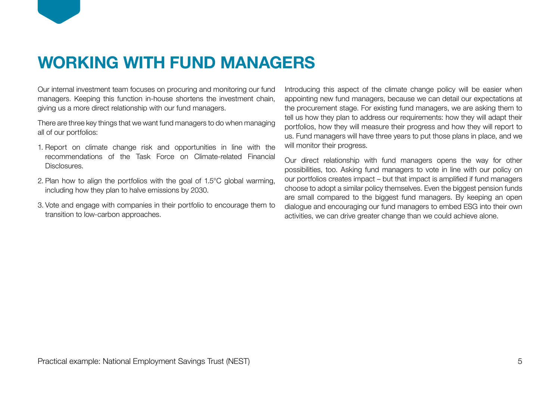

Our internal investment team focuses on procuring and monitoring our fund managers. Keeping this function in-house shortens the investment chain, giving us a more direct relationship with our fund managers.

There are three key things that we want fund managers to do when managing all of our portfolios:

- 1. Report on climate change risk and opportunities in line with the recommendations of the Task Force on Climate-related Financial Disclosures.
- 2. Plan how to align the portfolios with the goal of 1.5°C global warming, including how they plan to halve emissions by 2030.
- 3. Vote and engage with companies in their portfolio to encourage them to transition to low-carbon approaches.

Introducing this aspect of the climate change policy will be easier when appointing new fund managers, because we can detail our expectations at the procurement stage. For existing fund managers, we are asking them to tell us how they plan to address our requirements: how they will adapt their portfolios, how they will measure their progress and how they will report to us. Fund managers will have three years to put those plans in place, and we will monitor their progress.

Our direct relationship with fund managers opens the way for other possibilities, too. Asking fund managers to vote in line with our policy on our portfolios creates impact – but that impact is amplified if fund managers choose to adopt a similar policy themselves. Even the biggest pension funds are small compared to the biggest fund managers. By keeping an open dialogue and encouraging our fund managers to embed ESG into their own activities, we can drive greater change than we could achieve alone.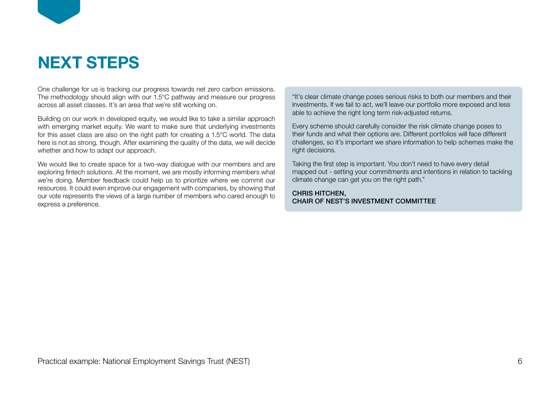# **NEXT STEPS**

One challenge for us is tracking our progress towards net zero carbon emissions. The methodology should align with our 1.5°C pathway and measure our progress across all asset classes. It's an area that we're still working on.

Building on our work in developed equity, we would like to take a similar approach with emerging market equity. We want to make sure that underlying investments for this asset class are also on the right path for creating a 1.5°C world. The data here is not as strong, though. After examining the quality of the data, we will decide whether and how to adapt our approach.

We would like to create space for a two-way dialogue with our members and are exploring fintech solutions. At the moment, we are mostly informing members what we're doing. Member feedback could help us to prioritize where we commit our resources. It could even improve our engagement with companies, by showing that our vote represents the views of a large number of members who cared enough to express a preference.

"It's clear climate change poses serious risks to both our members and their investments. If we fail to act, we'll leave our portfolio more exposed and less able to achieve the right long term risk-adjusted returns.

Every scheme should carefully consider the risk climate change poses to their funds and what their options are. Different portfolios will face different challenges, so it's important we share information to help schemes make the right decisions.

Taking the first step is important. You don't need to have every detail mapped out - setting your commitments and intentions in relation to tackling climate change can get you on the right path."

### CHRIS HITCHEN, CHAIR OF NEST'S INVESTMENT COMMITTEE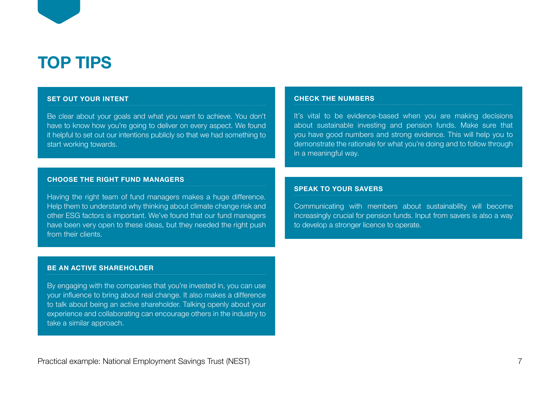

### **SET OUT YOUR INTENT**

Be clear about your goals and what you want to achieve. You don't have to know how you're going to deliver on every aspect. We found it helpful to set out our intentions publicly so that we had something to start working towards.

#### **CHOOSE THE RIGHT FUND MANAGERS**

Having the right team of fund managers makes a huge difference. Help them to understand why thinking about climate change risk and other ESG factors is important. We've found that our fund managers have been very open to these ideas, but they needed the right push from their clients.

#### **CHECK THE NUMBERS**

It's vital to be evidence-based when you are making decisions about sustainable investing and pension funds. Make sure that you have good numbers and strong evidence. This will help you to demonstrate the rationale for what you're doing and to follow through in a meaningful way.

#### **SPEAK TO YOUR SAVERS**

Communicating with members about sustainability will become increasingly crucial for pension funds. Input from savers is also a way to develop a stronger licence to operate.

### **BE AN ACTIVE SHAREHOLDER**

By engaging with the companies that you're invested in, you can use your influence to bring about real change. It also makes a difference to talk about being an active shareholder. Talking openly about your experience and collaborating can encourage others in the industry to take a similar approach.